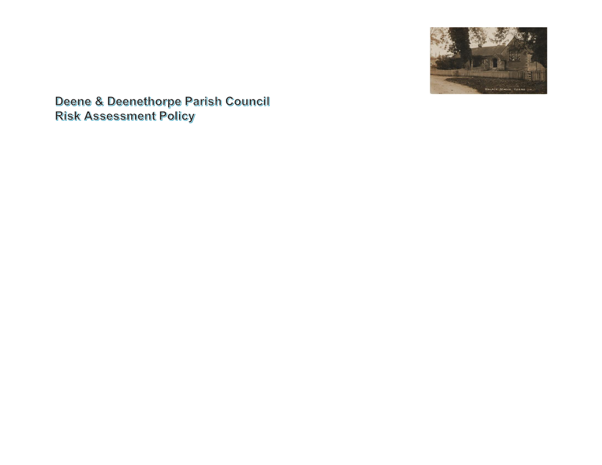

Deene & Deenethorpe Parish Council **Risk Assessment Policy**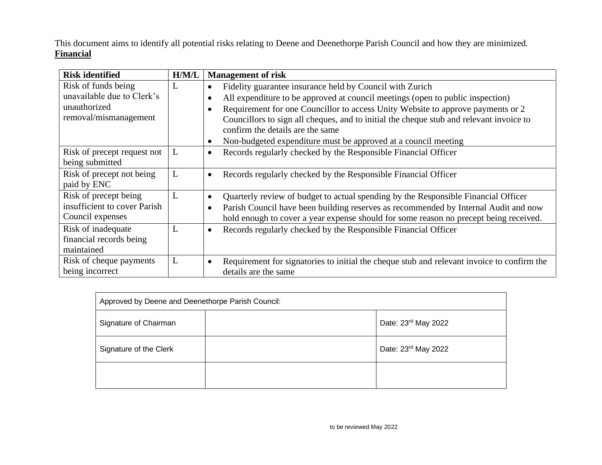This document aims to identify all potential risks relating to Deene and Deenethorpe Parish Council and how they are minimized. **Financial**

| <b>Risk identified</b>                         | H/M/L | <b>Management of risk</b>                                                                                                   |  |
|------------------------------------------------|-------|-----------------------------------------------------------------------------------------------------------------------------|--|
| Risk of funds being                            | L     | Fidelity guarantee insurance held by Council with Zurich<br>$\bullet$                                                       |  |
| unavailable due to Clerk's                     |       | All expenditure to be approved at council meetings (open to public inspection)                                              |  |
| unauthorized                                   |       | Requirement for one Councillor to access Unity Website to approve payments or 2                                             |  |
| removal/mismanagement                          |       | Councillors to sign all cheques, and to initial the cheque stub and relevant invoice to<br>confirm the details are the same |  |
|                                                |       | Non-budgeted expenditure must be approved at a council meeting<br>$\bullet$                                                 |  |
| Risk of precept request not<br>being submitted | L     | Records regularly checked by the Responsible Financial Officer<br>$\bullet$                                                 |  |
| Risk of precept not being<br>paid by ENC       | L     | Records regularly checked by the Responsible Financial Officer<br>$\bullet$                                                 |  |
| Risk of precept being                          | L     | Quarterly review of budget to actual spending by the Responsible Financial Officer<br>$\bullet$                             |  |
| insufficient to cover Parish                   |       | Parish Council have been building reserves as recommended by Internal Audit and now                                         |  |
| Council expenses                               |       | hold enough to cover a year expense should for some reason no precept being received.                                       |  |
| Risk of inadequate                             | L     | Records regularly checked by the Responsible Financial Officer<br>$\bullet$                                                 |  |
| financial records being                        |       |                                                                                                                             |  |
| maintained                                     |       |                                                                                                                             |  |
| Risk of cheque payments                        | L     | Requirement for signatories to initial the cheque stub and relevant invoice to confirm the<br>$\bullet$                     |  |
| being incorrect                                |       | details are the same                                                                                                        |  |

| Approved by Deene and Deenethorpe Parish Council: |  |                     |  |  |  |
|---------------------------------------------------|--|---------------------|--|--|--|
| Signature of Chairman                             |  | Date: 23rd May 2022 |  |  |  |
| Signature of the Clerk                            |  | Date: 23rd May 2022 |  |  |  |
|                                                   |  |                     |  |  |  |